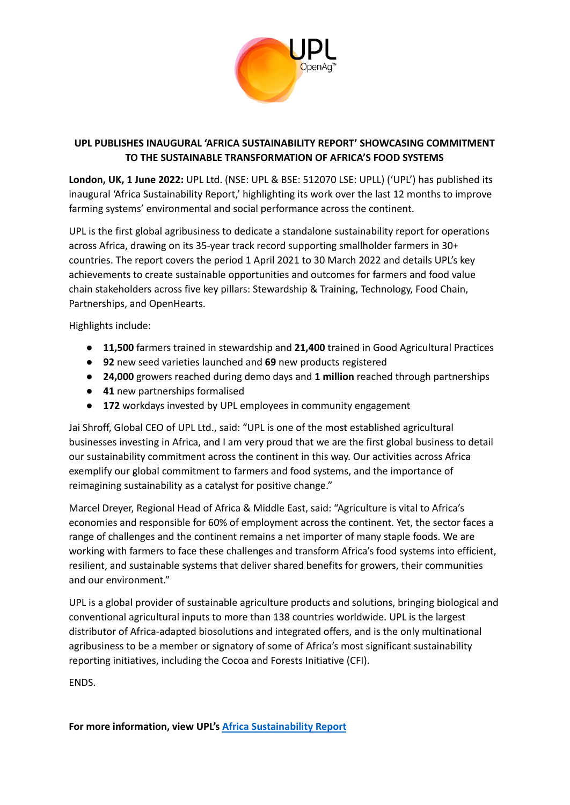

## **UPL PUBLISHES INAUGURAL 'AFRICA SUSTAINABILITY REPORT' SHOWCASING COMMITMENT TO THE SUSTAINABLE TRANSFORMATION OF AFRICA'S FOOD SYSTEMS**

**London, UK, 1 June 2022:** UPL Ltd. (NSE: UPL & BSE: 512070 LSE: UPLL) ('UPL') has published its inaugural 'Africa Sustainability Report,' highlighting its work over the last 12 months to improve farming systems' environmental and social performance across the continent.

UPL is the first global agribusiness to dedicate a standalone sustainability report for operations across Africa, drawing on its 35-year track record supporting smallholder farmers in 30+ countries. The report covers the period 1 April 2021 to 30 March 2022 and details UPL's key achievements to create sustainable opportunities and outcomes for farmers and food value chain stakeholders across five key pillars: Stewardship & Training, Technology, Food Chain, Partnerships, and OpenHearts.

Highlights include:

- **11,500** farmers trained in stewardship and **21,400** trained in Good Agricultural Practices
- **92** new seed varieties launched and **69** new products registered
- **24,000** growers reached during demo days and **1 million** reached through partnerships
- **41** new partnerships formalised
- **172** workdays invested by UPL employees in community engagement

Jai Shroff, Global CEO of UPL Ltd., said: "UPL is one of the most established agricultural businesses investing in Africa, and I am very proud that we are the first global business to detail our sustainability commitment across the continent in this way. Our activities across Africa exemplify our global commitment to farmers and food systems, and the importance of reimagining sustainability as a catalyst for positive change."

Marcel Dreyer, Regional Head of Africa & Middle East, said: "Agriculture is vital to Africa's economies and responsible for 60% of employment across the continent. Yet, the sector faces a range of challenges and the continent remains a net importer of many staple foods. We are working with farmers to face these challenges and transform Africa's food systems into efficient, resilient, and sustainable systems that deliver shared benefits for growers, their communities and our environment."

UPL is a global provider of sustainable agriculture products and solutions, bringing biological and conventional agricultural inputs to more than 138 countries worldwide. UPL is the largest distributor of Africa-adapted biosolutions and integrated offers, and is the only multinational agribusiness to be a member or signatory of some of Africa's most significant sustainability reporting initiatives, including the Cocoa and Forests Initiative (CFI).

ENDS.

**For more information, view UPL's Africa [Sustainability](https://www.upl-ltd.com/downloads/africa-sustainability-report.pdf) Report**